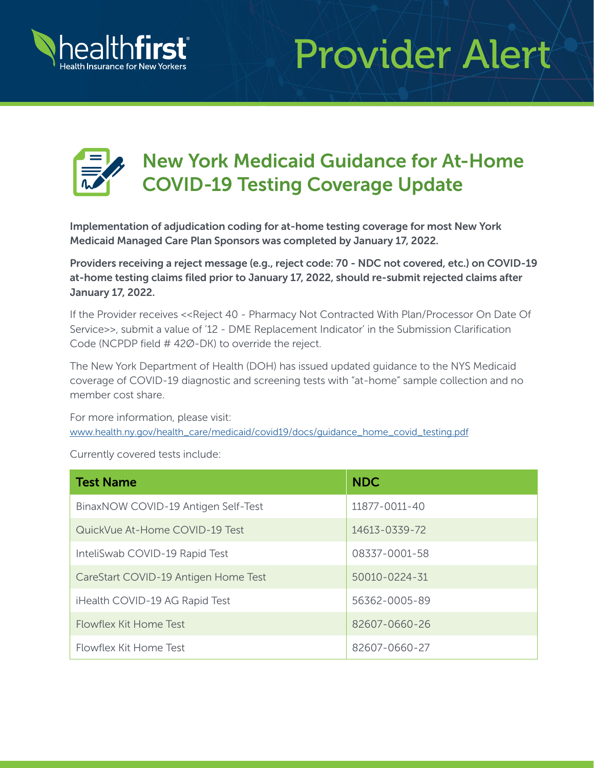

## Provider Alert



## New York Medicaid Guidance for At-Home COVID-19 Testing Coverage Update

Implementation of adjudication coding for at-home testing coverage for most New York Medicaid Managed Care Plan Sponsors was completed by January 17, 2022.

Providers receiving a reject message (e.g., reject code: 70 - NDC not covered, etc.) on COVID-19 at-home testing claims filed prior to January 17, 2022, should re-submit rejected claims after January 17, 2022.

If the Provider receives << Reject 40 - Pharmacy Not Contracted With Plan/Processor On Date Of Service>>, submit a value of '12 - DME Replacement Indicator' in the Submission Clarification Code (NCPDP field # 42Ø-DK) to override the reject.

The New York Department of Health (DOH) has issued updated guidance to the NYS Medicaid coverage of COVID-19 diagnostic and screening tests with "at-home" sample collection and no member cost share.

For more information, please visit: [www.health.ny.gov/health\\_care/medicaid/covid19/docs/guidance\\_home\\_covid\\_testing.pdf](https://www.health.ny.gov/health_care/medicaid/covid19/docs/guidance_home_covid_testing.pdf)

Currently covered tests include:

| <b>Test Name</b>                     | <b>NDC</b>          |
|--------------------------------------|---------------------|
| BinaxNOW COVID-19 Antigen Self-Test  | 11877-0011-40       |
| QuickVue At-Home COVID-19 Test       | 14613-0339-72       |
| InteliSwab COVID-19 Rapid Test       | 08337-0001-58       |
| CareStart COVID-19 Antigen Home Test | $50010 - 0224 - 31$ |
| iHealth COVID-19 AG Rapid Test       | 56362-0005-89       |
| Flowflex Kit Home Test               | 82607-0660-26       |
| Flowflex Kit Home Test               | 82607-0660-27       |